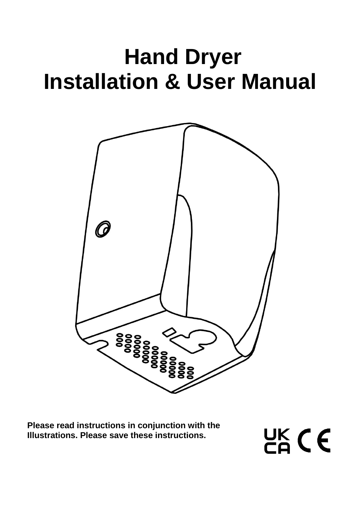# **Hand Dryer Installation & User Manual**



**Please read instructions in conjunction with the Illustrations. Please save these instructions.**

UK CE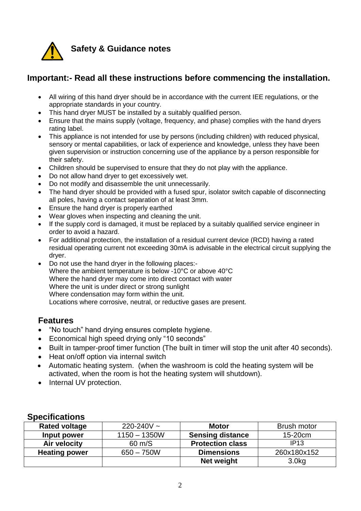

## **Safety & Guidance notes**

## **Important:- Read all these instructions before commencing the installation.**

- All wiring of this hand dryer should be in accordance with the current IEE regulations, or the appropriate standards in your country.
- This hand dryer MUST be installed by a suitably qualified person.
- Ensure that the mains supply (voltage, frequency, and phase) complies with the hand dryers rating label.
- This appliance is not intended for use by persons (including children) with reduced physical, sensory or mental capabilities, or lack of experience and knowledge, unless they have been given supervision or instruction concerning use of the appliance by a person responsible for their safety.
- Children should be supervised to ensure that they do not play with the appliance.
- Do not allow hand dryer to get excessively wet.
- Do not modify and disassemble the unit unnecessarily.
- The hand drver should be provided with a fused spur, isolator switch capable of disconnecting all poles, having a contact separation of at least 3mm.
- Ensure the hand dryer is properly earthed
- Wear gloves when inspecting and cleaning the unit.
- If the supply cord is damaged, it must be replaced by a suitably qualified service engineer in order to avoid a hazard.
- For additional protection, the installation of a residual current device (RCD) having a rated residual operating current not exceeding 30mA is advisable in the electrical circuit supplying the dryer.
- Do not use the hand dryer in the following places:- Where the ambient temperature is below -10°C or above 40°C Where the hand dryer may come into direct contact with water Where the unit is under direct or strong sunlight Where condensation may form within the unit. Locations where corrosive, neutral, or reductive gases are present.

### **Features**

- "No touch" hand drying ensures complete hygiene.
- Economical high speed drying only "10 seconds"
- Built in tamper-proof timer function (The built in timer will stop the unit after 40 seconds).
- Heat on/off option via internal switch
- Automatic heating system. (when the washroom is cold the heating system will be activated, when the room is hot the heating system will shutdown).
- Internal UV protection.

## **Specifications**

| <b>Rated voltage</b> | $220 - 240V$ ~ | <b>Motor</b>            | Brush motor       |
|----------------------|----------------|-------------------------|-------------------|
| Input power          | $1150 - 1350W$ | <b>Sensing distance</b> | 15-20cm           |
| Air velocity         | 60 m/S         | <b>Protection class</b> | IP13              |
| <b>Heating power</b> | $650 - 750W$   | <b>Dimensions</b>       | 260x180x152       |
|                      |                | Net weight              | 3.0 <sub>kg</sub> |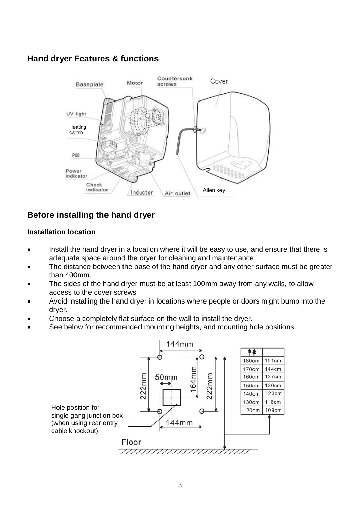# **Hand dryer Features & functions**



# **Before installing the hand dryer**

#### **Installation location**

- Install the hand dryer in a location where it will be easy to use, and ensure that there is adequate space around the dryer for cleaning and maintenance.
- The distance between the base of the hand dryer and any other surface must be greater than 400mm.
- The sides of the hand dryer must be at least 100mm away from any walls, to allow access to the cover screws
- Avoid installing the hand dryer in locations where people or doors might bump into the dryer.
- Choose a completely flat surface on the wall to install the dryer.
- See below for recommended mounting heights, and mounting hole positions.

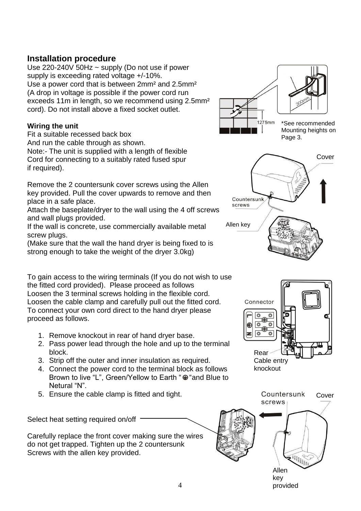## **Installation procedure**

Use 220-240V 50Hz ~ supply (Do not use if power supply is exceeding rated voltage +/-10%. Use a power cord that is between 2mm² and 2.5mm² (A drop in voltage is possible if the power cord run exceeds 11m in length, so we recommend using 2.5mm² cord). Do not install above a fixed socket outlet.

## **Wiring the unit**

Fit a suitable recessed back box

And run the cable through as shown.

Note:- The unit is supplied with a length of flexible Cord for connecting to a suitably rated fused spur if required).

Remove the 2 countersunk cover screws using the Allen key provided. Pull the cover upwards to remove and then place in a safe place.

Attach the baseplate/dryer to the wall using the 4 off screws and wall plugs provided.

If the wall is concrete, use commercially available metal screw plugs.

(Make sure that the wall the hand dryer is being fixed to is strong enough to take the weight of the dryer 3.0kg)

To gain access to the wiring terminals (If you do not wish to use the fitted cord provided). Please proceed as follows Loosen the 3 terminal screws holding in the flexible cord. Loosen the cable clamp and carefully pull out the fitted cord. To connect your own cord direct to the hand dryer please proceed as follows.

- 1. Remove knockout in rear of hand dryer base.
- 2. Pass power lead through the hole and up to the terminal block.
- 3. Strip off the outer and inner insulation as required.
- 4. Connect the power cord to the terminal block as follows Brown to live "L", Green/Yellow to Earth " · and Blue to Netural "N".
- 5. Ensure the cable clamp is fitted and tight.

Select heat setting required on/off

Carefully replace the front cover making sure the wires do not get trapped. Tighten up the 2 countersunk Screws with the allen key provided.







Allen key provided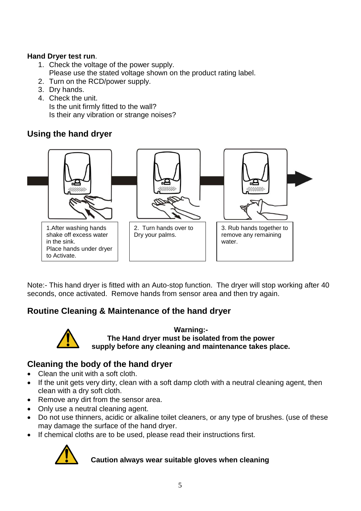## **Hand Dryer test run**.

- 1. Check the voltage of the power supply. Please use the stated voltage shown on the product rating label.
- 2. Turn on the RCD/power supply.
- 3. Dry hands.
- 4. Check the unit. Is the unit firmly fitted to the wall? Is their any vibration or strange noises?

# **Using the hand dryer**



Note:- This hand dryer is fitted with an Auto-stop function. The dryer will stop working after 40 seconds, once activated. Remove hands from sensor area and then try again.

# **Routine Cleaning & Maintenance of the hand dryer**



**Warning:- The Hand dryer must be isolated from the power supply before any cleaning and maintenance takes place.**

# **Cleaning the body of the hand dryer**

- Clean the unit with a soft cloth.
- If the unit gets very dirty, clean with a soft damp cloth with a neutral cleaning agent, then clean with a dry soft cloth.
- Remove any dirt from the sensor area.
- Only use a neutral cleaning agent.
- Do not use thinners, acidic or alkaline toilet cleaners, or any type of brushes. (use of these may damage the surface of the hand dryer.
- If chemical cloths are to be used, please read their instructions first.



### **Caution always wear suitable gloves when cleaning**